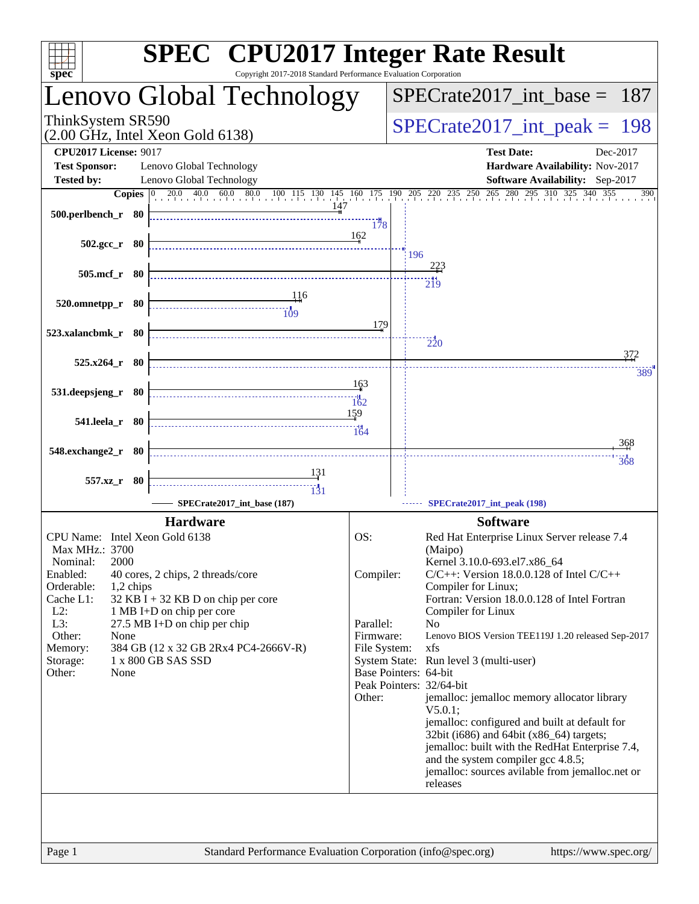| spec <sup>®</sup>                                                          | Copyright 2017-2018 Standard Performance Evaluation Corporation | <b>SPEC<sup>®</sup></b> CPU2017 Integer Rate Result                                                                |  |  |  |
|----------------------------------------------------------------------------|-----------------------------------------------------------------|--------------------------------------------------------------------------------------------------------------------|--|--|--|
| Lenovo Global Technology                                                   |                                                                 | $SPECrate2017\_int\_base = 187$                                                                                    |  |  |  |
| ThinkSystem SR590<br>$(2.00 \text{ GHz}, \text{Intel Xeon Gold } 6138)$    | $SPECrate2017\_int\_peak = 198$                                 |                                                                                                                    |  |  |  |
| <b>CPU2017 License: 9017</b>                                               |                                                                 | <b>Test Date:</b><br>Dec-2017                                                                                      |  |  |  |
| <b>Test Sponsor:</b><br>Lenovo Global Technology                           |                                                                 | Hardware Availability: Nov-2017                                                                                    |  |  |  |
| <b>Tested by:</b><br>Lenovo Global Technology                              |                                                                 | Software Availability: Sep-2017                                                                                    |  |  |  |
| 500.perlbench_r 80                                                         | 178                                                             | <b>Copies</b> 0 20.0 40.0 60.0 80.0 100 115 130 145 160 175 190 205 220 235 250 265 280 295 310 325 340 355<br>390 |  |  |  |
| $502.\text{gcc}_r$ 80                                                      | 162                                                             | 196                                                                                                                |  |  |  |
| 505.mcf_r 80                                                               |                                                                 | 223                                                                                                                |  |  |  |
| 520.omnetpp_r 80                                                           | 116<br>179                                                      | $\frac{11}{219}$                                                                                                   |  |  |  |
| 523.xalancbmk r 80                                                         |                                                                 | $\frac{1}{220}$                                                                                                    |  |  |  |
| $525.x264$ r 80                                                            |                                                                 | 372                                                                                                                |  |  |  |
|                                                                            |                                                                 | 389                                                                                                                |  |  |  |
| 531.deepsjeng_r 80<br>$\overbrace{\hspace{1.5cm}162}^{11}$                 | 163<br>159                                                      |                                                                                                                    |  |  |  |
| 541.leela_r 80                                                             | 164                                                             | 368                                                                                                                |  |  |  |
| 548.exchange2_r 80                                                         |                                                                 | 368                                                                                                                |  |  |  |
| 557.xz_r 80                                                                | 131                                                             |                                                                                                                    |  |  |  |
| $\overbrace{131}$                                                          |                                                                 |                                                                                                                    |  |  |  |
| SPECrate2017_int_base (187)                                                |                                                                 | SPECrate2017_int_peak (198)                                                                                        |  |  |  |
| <b>Hardware</b>                                                            |                                                                 | <b>Software</b>                                                                                                    |  |  |  |
| CPU Name: Intel Xeon Gold 6138                                             | OS:                                                             | Red Hat Enterprise Linux Server release 7.4                                                                        |  |  |  |
| Max MHz.: 3700<br>2000<br>Nominal:                                         |                                                                 | (Maipo)<br>Kernel 3.10.0-693.el7.x86_64                                                                            |  |  |  |
| Enabled:<br>40 cores, 2 chips, 2 threads/core                              | Compiler:                                                       | $C/C++$ : Version 18.0.0.128 of Intel $C/C++$                                                                      |  |  |  |
| Orderable:<br>1,2 chips                                                    |                                                                 | Compiler for Linux;                                                                                                |  |  |  |
| Cache L1:<br>$32$ KB I + 32 KB D on chip per core                          |                                                                 | Fortran: Version 18.0.0.128 of Intel Fortran                                                                       |  |  |  |
| $L2$ :<br>1 MB I+D on chip per core<br>L3:<br>27.5 MB I+D on chip per chip | Parallel:                                                       | Compiler for Linux<br>N <sub>0</sub>                                                                               |  |  |  |
| Other:<br>None                                                             | Firmware:                                                       | Lenovo BIOS Version TEE119J 1.20 released Sep-2017                                                                 |  |  |  |
| 384 GB (12 x 32 GB 2Rx4 PC4-2666V-R)<br>Memory:                            | File System:                                                    | xfs                                                                                                                |  |  |  |
| Storage:<br>1 x 800 GB SAS SSD                                             |                                                                 | System State: Run level 3 (multi-user)                                                                             |  |  |  |
| Other:<br>None                                                             |                                                                 | Base Pointers: 64-bit<br>Peak Pointers: 32/64-bit                                                                  |  |  |  |
|                                                                            | Other:                                                          | jemalloc: jemalloc memory allocator library                                                                        |  |  |  |
|                                                                            |                                                                 | $V5.0.1$ :                                                                                                         |  |  |  |
|                                                                            |                                                                 | jemalloc: configured and built at default for<br>32bit (i686) and 64bit (x86_64) targets;                          |  |  |  |
|                                                                            |                                                                 | jemalloc: built with the RedHat Enterprise 7.4,                                                                    |  |  |  |
|                                                                            |                                                                 | and the system compiler gcc 4.8.5;                                                                                 |  |  |  |
|                                                                            |                                                                 | jemalloc: sources avilable from jemalloc.net or<br>releases                                                        |  |  |  |
|                                                                            |                                                                 |                                                                                                                    |  |  |  |
|                                                                            |                                                                 |                                                                                                                    |  |  |  |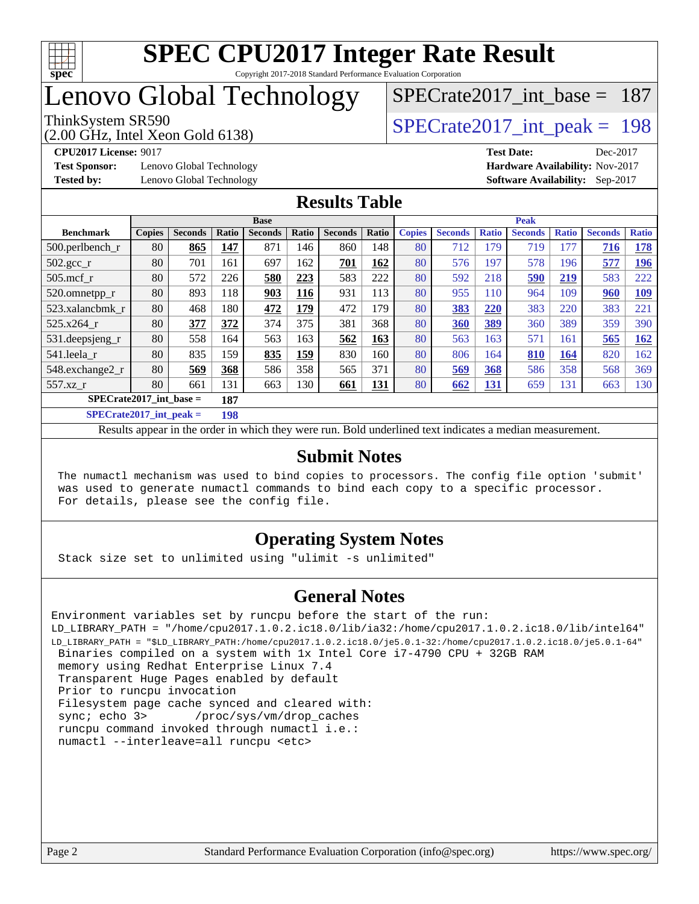

## Lenovo Global Technology

(2.00 GHz, Intel Xeon Gold 6138)

ThinkSystem SR590<br>  $\angle Q$  00 GHz, Intel Year Gold 6138)<br> [SPECrate2017\\_int\\_peak =](http://www.spec.org/auto/cpu2017/Docs/result-fields.html#SPECrate2017intpeak) 198

[SPECrate2017\\_int\\_base =](http://www.spec.org/auto/cpu2017/Docs/result-fields.html#SPECrate2017intbase) 187

**[Test Sponsor:](http://www.spec.org/auto/cpu2017/Docs/result-fields.html#TestSponsor)** Lenovo Global Technology **[Hardware Availability:](http://www.spec.org/auto/cpu2017/Docs/result-fields.html#HardwareAvailability)** Nov-2017

**[CPU2017 License:](http://www.spec.org/auto/cpu2017/Docs/result-fields.html#CPU2017License)** 9017 **[Test Date:](http://www.spec.org/auto/cpu2017/Docs/result-fields.html#TestDate)** Dec-2017 **[Tested by:](http://www.spec.org/auto/cpu2017/Docs/result-fields.html#Testedby)** Lenovo Global Technology **[Software Availability:](http://www.spec.org/auto/cpu2017/Docs/result-fields.html#SoftwareAvailability)** Sep-2017

#### **[Results Table](http://www.spec.org/auto/cpu2017/Docs/result-fields.html#ResultsTable)**

| <b>Base</b>                      |               |                |       |                | <b>Peak</b> |                |       |               |                |              |                |              |                |              |
|----------------------------------|---------------|----------------|-------|----------------|-------------|----------------|-------|---------------|----------------|--------------|----------------|--------------|----------------|--------------|
| <b>Benchmark</b>                 | <b>Copies</b> | <b>Seconds</b> | Ratio | <b>Seconds</b> | Ratio       | <b>Seconds</b> | Ratio | <b>Copies</b> | <b>Seconds</b> | <b>Ratio</b> | <b>Seconds</b> | <b>Ratio</b> | <b>Seconds</b> | <b>Ratio</b> |
| $500.$ perlbench_r               | 80            | 865            | 147   | 871            | 146         | 860            | 148   | 80            | 712            | 179          | 719            | 177          | 716            | <u>178</u>   |
| $502.\text{gcc}$ <sub>r</sub>    | 80            | 701            | 161   | 697            | 162         | 701            | 162   | 80            | 576            | 197          | 578            | 196          | 577            | <u>196</u>   |
| $505$ .mcf r                     | 80            | 572            | 226   | 580            | 223         | 583            | 222   | 80            | 592            | 218          | 590            | 219          | 583            | 222          |
| 520.omnetpp_r                    | 80            | 893            | 118   | 903            | 116         | 931            | 113   | 80            | 955            | 110          | 964            | 109          | 960            | <u>109</u>   |
| 523.xalancbmk_r                  | 80            | 468            | 180   | 472            | 179         | 472            | 179   | 80            | 383            | 220          | 383            | 220          | 383            | 221          |
| 525.x264 r                       | 80            | 377            | 372   | 374            | 375         | 381            | 368   | 80            | 360            | 389          | 360            | 389          | 359            | 390          |
| 531.deepsjeng_r                  | 80            | 558            | 164   | 563            | 163         | 562            | 163   | 80            | 563            | 163          | 571            | 161          | 565            | <u>162</u>   |
| 541.leela r                      | 80            | 835            | 159   | 835            | 159         | 830            | 160   | 80            | 806            | 164          | 810            | 164          | 820            | 162          |
| 548.exchange2_r                  | 80            | 569            | 368   | 586            | 358         | 565            | 371   | 80            | 569            | 368          | 586            | 358          | 568            | 369          |
| 557.xz r                         | 80            | 661            | 131   | 663            | 130         | 661            | 131   | 80            | 662            | 131          | 659            | 131          | 663            | 130          |
| $SPECrate2017$ int base =<br>187 |               |                |       |                |             |                |       |               |                |              |                |              |                |              |
| $CDDC_{11}$ $4.2017$ $1.4$ $1.1$ |               |                | 100   |                |             |                |       |               |                |              |                |              |                |              |

**[SPECrate2017\\_int\\_peak =](http://www.spec.org/auto/cpu2017/Docs/result-fields.html#SPECrate2017intpeak) 198**

Results appear in the [order in which they were run](http://www.spec.org/auto/cpu2017/Docs/result-fields.html#RunOrder). Bold underlined text [indicates a median measurement](http://www.spec.org/auto/cpu2017/Docs/result-fields.html#Median).

#### **[Submit Notes](http://www.spec.org/auto/cpu2017/Docs/result-fields.html#SubmitNotes)**

 The numactl mechanism was used to bind copies to processors. The config file option 'submit' was used to generate numactl commands to bind each copy to a specific processor. For details, please see the config file.

#### **[Operating System Notes](http://www.spec.org/auto/cpu2017/Docs/result-fields.html#OperatingSystemNotes)**

Stack size set to unlimited using "ulimit -s unlimited"

#### **[General Notes](http://www.spec.org/auto/cpu2017/Docs/result-fields.html#GeneralNotes)**

Environment variables set by runcpu before the start of the run: LD\_LIBRARY\_PATH = "/home/cpu2017.1.0.2.ic18.0/lib/ia32:/home/cpu2017.1.0.2.ic18.0/lib/intel64" LD\_LIBRARY\_PATH = "\$LD\_LIBRARY\_PATH:/home/cpu2017.1.0.2.ic18.0/je5.0.1-32:/home/cpu2017.1.0.2.ic18.0/je5.0.1-64" Binaries compiled on a system with 1x Intel Core i7-4790 CPU + 32GB RAM memory using Redhat Enterprise Linux 7.4 Transparent Huge Pages enabled by default Prior to runcpu invocation Filesystem page cache synced and cleared with: sync; echo 3> /proc/sys/vm/drop\_caches runcpu command invoked through numactl i.e.: numactl --interleave=all runcpu <etc>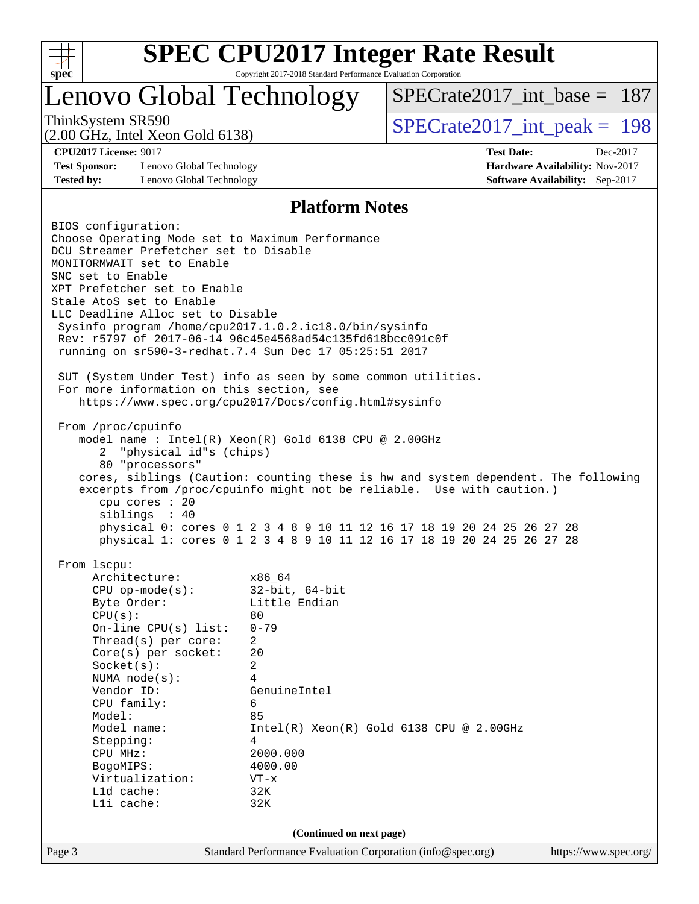

## Lenovo Global Technology

[SPECrate2017\\_int\\_base =](http://www.spec.org/auto/cpu2017/Docs/result-fields.html#SPECrate2017intbase) 187

(2.00 GHz, Intel Xeon Gold 6138)

ThinkSystem SR590<br>  $\angle Q$  00 GHz, Intel Year Gold 6138)<br> [SPECrate2017\\_int\\_peak =](http://www.spec.org/auto/cpu2017/Docs/result-fields.html#SPECrate2017intpeak) 198

**[Test Sponsor:](http://www.spec.org/auto/cpu2017/Docs/result-fields.html#TestSponsor)** Lenovo Global Technology **[Hardware Availability:](http://www.spec.org/auto/cpu2017/Docs/result-fields.html#HardwareAvailability)** Nov-2017 **[Tested by:](http://www.spec.org/auto/cpu2017/Docs/result-fields.html#Testedby)** Lenovo Global Technology **[Software Availability:](http://www.spec.org/auto/cpu2017/Docs/result-fields.html#SoftwareAvailability)** Sep-2017

**[CPU2017 License:](http://www.spec.org/auto/cpu2017/Docs/result-fields.html#CPU2017License)** 9017 **[Test Date:](http://www.spec.org/auto/cpu2017/Docs/result-fields.html#TestDate)** Dec-2017

#### **[Platform Notes](http://www.spec.org/auto/cpu2017/Docs/result-fields.html#PlatformNotes)**

Page 3 Standard Performance Evaluation Corporation [\(info@spec.org\)](mailto:info@spec.org) <https://www.spec.org/> BIOS configuration: Choose Operating Mode set to Maximum Performance DCU Streamer Prefetcher set to Disable MONITORMWAIT set to Enable SNC set to Enable XPT Prefetcher set to Enable Stale AtoS set to Enable LLC Deadline Alloc set to Disable Sysinfo program /home/cpu2017.1.0.2.ic18.0/bin/sysinfo Rev: r5797 of 2017-06-14 96c45e4568ad54c135fd618bcc091c0f running on sr590-3-redhat.7.4 Sun Dec 17 05:25:51 2017 SUT (System Under Test) info as seen by some common utilities. For more information on this section, see <https://www.spec.org/cpu2017/Docs/config.html#sysinfo> From /proc/cpuinfo model name : Intel(R) Xeon(R) Gold 6138 CPU @ 2.00GHz 2 "physical id"s (chips) 80 "processors" cores, siblings (Caution: counting these is hw and system dependent. The following excerpts from /proc/cpuinfo might not be reliable. Use with caution.) cpu cores : 20 siblings : 40 physical 0: cores 0 1 2 3 4 8 9 10 11 12 16 17 18 19 20 24 25 26 27 28 physical 1: cores 0 1 2 3 4 8 9 10 11 12 16 17 18 19 20 24 25 26 27 28 From lscpu: Architecture: x86\_64 CPU op-mode(s): 32-bit, 64-bit Byte Order: Little Endian  $CPU(s):$  80 On-line CPU(s) list: 0-79 Thread(s) per core: 2 Core(s) per socket: 20 Socket(s): 2 NUMA node(s): 4 Vendor ID: GenuineIntel CPU family: 6 Model: 85 Model name: Intel(R) Xeon(R) Gold 6138 CPU @ 2.00GHz Stepping: 4 CPU MHz: 2000.000 BogoMIPS: 4000.00 Virtualization: VT-x L1d cache: 32K L1i cache: 32K **(Continued on next page)**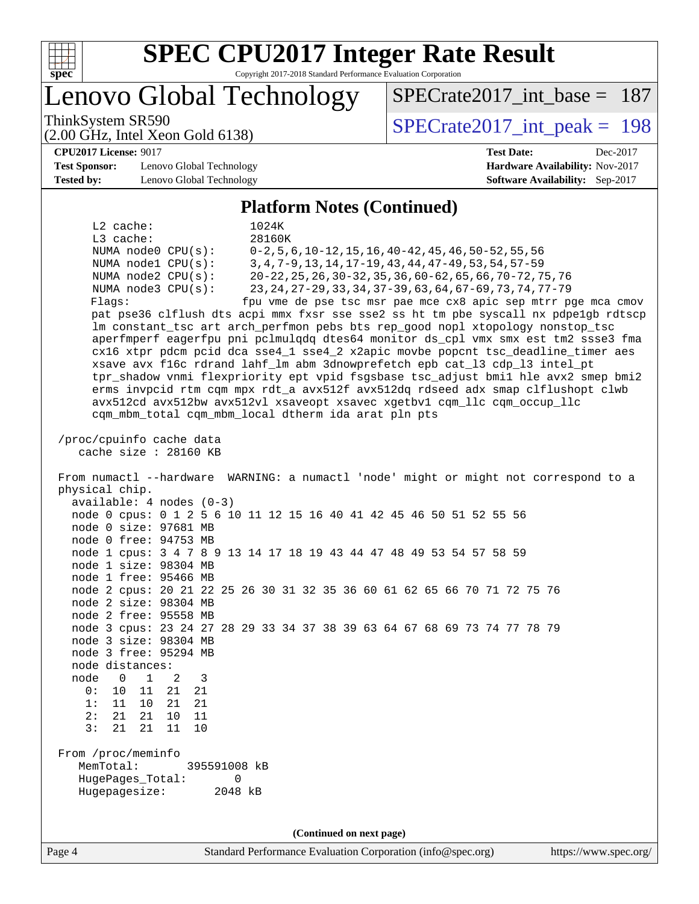

# **[SPEC CPU2017 Integer Rate Result](http://www.spec.org/auto/cpu2017/Docs/result-fields.html#SPECCPU2017IntegerRateResult)**

Copyright 2017-2018 Standard Performance Evaluation Corporation

Lenovo Global Technology

ThinkSystem SR590<br>  $\angle Q$  00 GHz, Intel Year Gold 6138)<br> [SPECrate2017\\_int\\_peak =](http://www.spec.org/auto/cpu2017/Docs/result-fields.html#SPECrate2017intpeak) 198

[SPECrate2017\\_int\\_base =](http://www.spec.org/auto/cpu2017/Docs/result-fields.html#SPECrate2017intbase) 187

(2.00 GHz, Intel Xeon Gold 6138) **[CPU2017 License:](http://www.spec.org/auto/cpu2017/Docs/result-fields.html#CPU2017License)** 9017 **[Test Date:](http://www.spec.org/auto/cpu2017/Docs/result-fields.html#TestDate)** Dec-2017

**[Test Sponsor:](http://www.spec.org/auto/cpu2017/Docs/result-fields.html#TestSponsor)** Lenovo Global Technology **[Hardware Availability:](http://www.spec.org/auto/cpu2017/Docs/result-fields.html#HardwareAvailability)** Nov-2017 **[Tested by:](http://www.spec.org/auto/cpu2017/Docs/result-fields.html#Testedby)** Lenovo Global Technology **[Software Availability:](http://www.spec.org/auto/cpu2017/Docs/result-fields.html#SoftwareAvailability)** Sep-2017

#### **[Platform Notes \(Continued\)](http://www.spec.org/auto/cpu2017/Docs/result-fields.html#PlatformNotes)**

 L2 cache: 1024K L3 cache: 28160K NUMA node0 CPU(s): 0-2,5,6,10-12,15,16,40-42,45,46,50-52,55,56 NUMA node1 CPU(s): 3,4,7-9,13,14,17-19,43,44,47-49,53,54,57-59 NUMA node2 CPU(s): 20-22,25,26,30-32,35,36,60-62,65,66,70-72,75,76 NUMA node3 CPU(s): 23,24,27-29,33,34,37-39,63,64,67-69,73,74,77-79 Flags: fpu vme de pse tsc msr pae mce cx8 apic sep mtrr pge mca cmov pat pse36 clflush dts acpi mmx fxsr sse sse2 ss ht tm pbe syscall nx pdpe1gb rdtscp lm constant\_tsc art arch\_perfmon pebs bts rep\_good nopl xtopology nonstop\_tsc aperfmperf eagerfpu pni pclmulqdq dtes64 monitor ds\_cpl vmx smx est tm2 ssse3 fma cx16 xtpr pdcm pcid dca sse4\_1 sse4\_2 x2apic movbe popcnt tsc\_deadline\_timer aes xsave avx f16c rdrand lahf\_lm abm 3dnowprefetch epb cat\_l3 cdp\_l3 intel\_pt tpr\_shadow vnmi flexpriority ept vpid fsgsbase tsc\_adjust bmi1 hle avx2 smep bmi2 erms invpcid rtm cqm mpx rdt\_a avx512f avx512dq rdseed adx smap clflushopt clwb avx512cd avx512bw avx512vl xsaveopt xsavec xgetbv1 cqm\_llc cqm\_occup\_llc cqm\_mbm\_total cqm\_mbm\_local dtherm ida arat pln pts /proc/cpuinfo cache data cache size : 28160 KB From numactl --hardware WARNING: a numactl 'node' might or might not correspond to a physical chip. available: 4 nodes (0-3) node 0 cpus: 0 1 2 5 6 10 11 12 15 16 40 41 42 45 46 50 51 52 55 56 node 0 size: 97681 MB node 0 free: 94753 MB node 1 cpus: 3 4 7 8 9 13 14 17 18 19 43 44 47 48 49 53 54 57 58 59 node 1 size: 98304 MB node 1 free: 95466 MB node 2 cpus: 20 21 22 25 26 30 31 32 35 36 60 61 62 65 66 70 71 72 75 76 node 2 size: 98304 MB node 2 free: 95558 MB node 3 cpus: 23 24 27 28 29 33 34 37 38 39 63 64 67 68 69 73 74 77 78 79 node 3 size: 98304 MB node 3 free: 95294 MB node distances: node 0 1 2 3 0: 10 11 21 21 1: 11 10 21 21 2: 21 21 10 11 3: 21 21 11 10 From /proc/meminfo MemTotal: 395591008 kB HugePages\_Total: 0 Hugepagesize: 2048 kB **(Continued on next page)**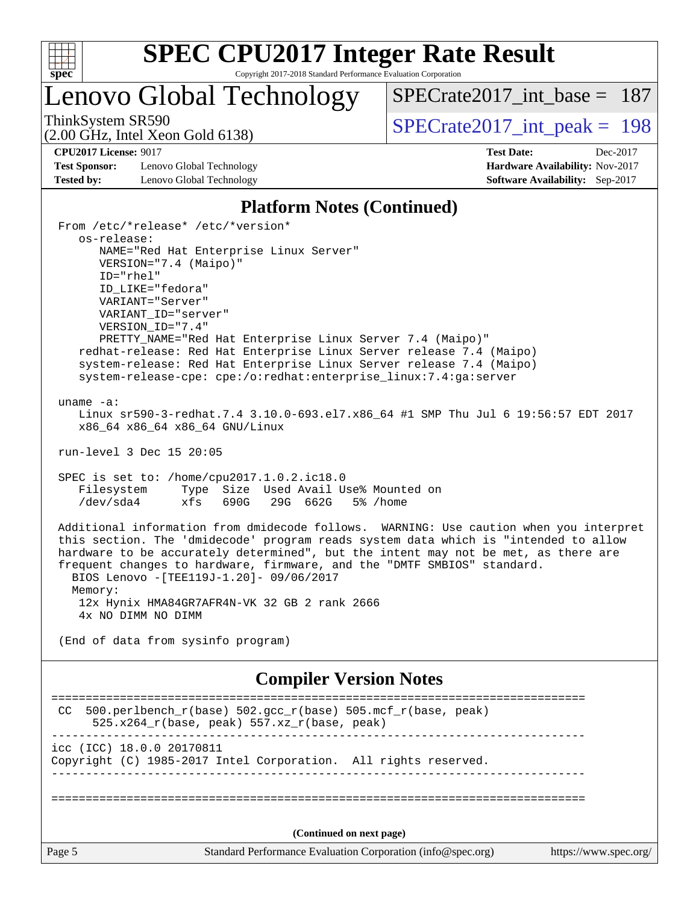

Lenovo Global Technology

[SPECrate2017\\_int\\_base =](http://www.spec.org/auto/cpu2017/Docs/result-fields.html#SPECrate2017intbase) 187

(2.00 GHz, Intel Xeon Gold 6138)

ThinkSystem SR590<br>  $\angle Q$  00 GHz, Intel Year Gold 6138)<br> [SPECrate2017\\_int\\_peak =](http://www.spec.org/auto/cpu2017/Docs/result-fields.html#SPECrate2017intpeak) 198

**[Test Sponsor:](http://www.spec.org/auto/cpu2017/Docs/result-fields.html#TestSponsor)** Lenovo Global Technology **[Hardware Availability:](http://www.spec.org/auto/cpu2017/Docs/result-fields.html#HardwareAvailability)** Nov-2017 **[Tested by:](http://www.spec.org/auto/cpu2017/Docs/result-fields.html#Testedby)** Lenovo Global Technology **[Software Availability:](http://www.spec.org/auto/cpu2017/Docs/result-fields.html#SoftwareAvailability)** Sep-2017

**[CPU2017 License:](http://www.spec.org/auto/cpu2017/Docs/result-fields.html#CPU2017License)** 9017 **[Test Date:](http://www.spec.org/auto/cpu2017/Docs/result-fields.html#TestDate)** Dec-2017

#### **[Platform Notes \(Continued\)](http://www.spec.org/auto/cpu2017/Docs/result-fields.html#PlatformNotes)**

Page 5 Standard Performance Evaluation Corporation [\(info@spec.org\)](mailto:info@spec.org) <https://www.spec.org/> From /etc/\*release\* /etc/\*version\* os-release: NAME="Red Hat Enterprise Linux Server" VERSION="7.4 (Maipo)" ID="rhel" ID\_LIKE="fedora" VARIANT="Server" VARIANT\_ID="server" VERSION\_ID="7.4" PRETTY\_NAME="Red Hat Enterprise Linux Server 7.4 (Maipo)" redhat-release: Red Hat Enterprise Linux Server release 7.4 (Maipo) system-release: Red Hat Enterprise Linux Server release 7.4 (Maipo) system-release-cpe: cpe:/o:redhat:enterprise\_linux:7.4:ga:server uname -a: Linux sr590-3-redhat.7.4 3.10.0-693.el7.x86\_64 #1 SMP Thu Jul 6 19:56:57 EDT 2017 x86\_64 x86\_64 x86\_64 GNU/Linux run-level 3 Dec 15 20:05 SPEC is set to: /home/cpu2017.1.0.2.ic18.0 Filesystem Type Size Used Avail Use% Mounted on /dev/sda4 xfs 690G 29G 662G 5% /home Additional information from dmidecode follows. WARNING: Use caution when you interpret this section. The 'dmidecode' program reads system data which is "intended to allow hardware to be accurately determined", but the intent may not be met, as there are frequent changes to hardware, firmware, and the "DMTF SMBIOS" standard. BIOS Lenovo -[TEE119J-1.20]- 09/06/2017 Memory: 12x Hynix HMA84GR7AFR4N-VK 32 GB 2 rank 2666 4x NO DIMM NO DIMM (End of data from sysinfo program) **[Compiler Version Notes](http://www.spec.org/auto/cpu2017/Docs/result-fields.html#CompilerVersionNotes)** ============================================================================== CC 500.perlbench\_r(base)  $502.\text{gcc_r}$ (base)  $505.\text{mcf_r}$ (base, peak) 525.x264\_r(base, peak) 557.xz\_r(base, peak) ----------------------------------------------------------------------------- icc (ICC) 18.0.0 20170811 Copyright (C) 1985-2017 Intel Corporation. All rights reserved. ------------------------------------------------------------------------------ ============================================================================== **(Continued on next page)**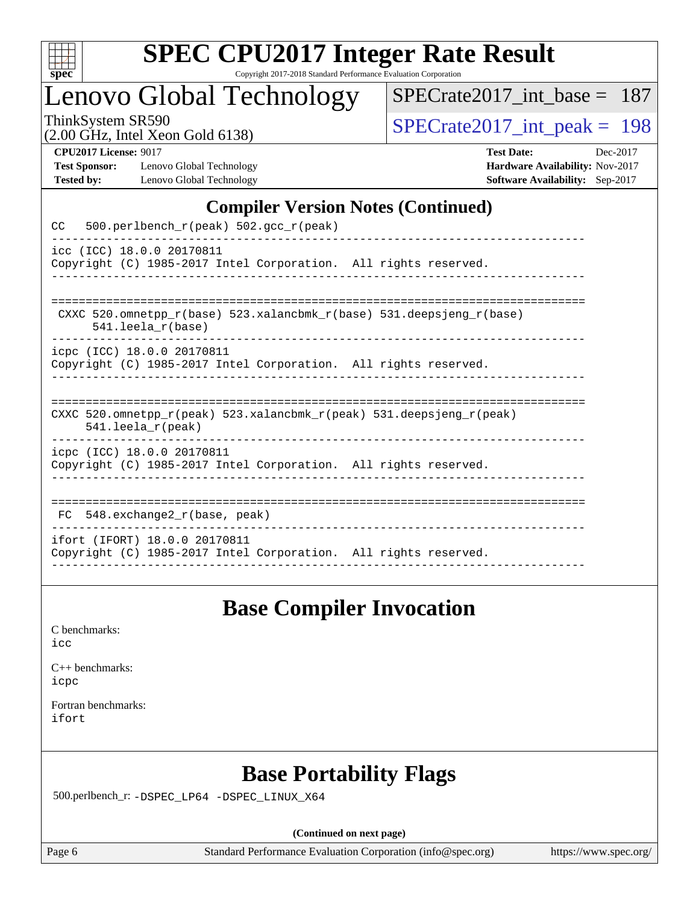

## Lenovo Global Technology

[SPECrate2017\\_int\\_base =](http://www.spec.org/auto/cpu2017/Docs/result-fields.html#SPECrate2017intbase) 187

(2.00 GHz, Intel Xeon Gold 6138)

ThinkSystem SR590<br>(2.00 GHz, Intel Xeon Gold 6138) [SPECrate2017\\_int\\_peak =](http://www.spec.org/auto/cpu2017/Docs/result-fields.html#SPECrate2017intpeak) 198

**[Test Sponsor:](http://www.spec.org/auto/cpu2017/Docs/result-fields.html#TestSponsor)** Lenovo Global Technology **[Hardware Availability:](http://www.spec.org/auto/cpu2017/Docs/result-fields.html#HardwareAvailability)** Nov-2017 **[Tested by:](http://www.spec.org/auto/cpu2017/Docs/result-fields.html#Testedby)** Lenovo Global Technology **[Software Availability:](http://www.spec.org/auto/cpu2017/Docs/result-fields.html#SoftwareAvailability)** Sep-2017

**[CPU2017 License:](http://www.spec.org/auto/cpu2017/Docs/result-fields.html#CPU2017License)** 9017 **[Test Date:](http://www.spec.org/auto/cpu2017/Docs/result-fields.html#TestDate)** Dec-2017

#### **[Compiler Version Notes \(Continued\)](http://www.spec.org/auto/cpu2017/Docs/result-fields.html#CompilerVersionNotes)**

| 500.perlbench_r(peak) 502.gcc_r(peak)<br>CC                                                                             |
|-------------------------------------------------------------------------------------------------------------------------|
| icc (ICC) 18.0.0 20170811<br>Copyright (C) 1985-2017 Intel Corporation. All rights reserved.                            |
| CXXC 520.omnetpp $r(base)$ 523.xalancbmk $r(base)$ 531.deepsjeng $r(base)$<br>$541.$ leela $r(base)$                    |
| icpc (ICC) 18.0.0 20170811<br>Copyright (C) 1985-2017 Intel Corporation. All rights reserved.                           |
| CXXC 520.omnetpp $r(\text{peak})$ 523.xalancbmk $r(\text{peak})$ 531.deepsjeng $r(\text{peak})$<br>$541.$ leela r(peak) |
| icpc (ICC) 18.0.0 20170811<br>Copyright (C) 1985-2017 Intel Corporation. All rights reserved.                           |
| FC 548.exchange2_r(base, peak)                                                                                          |
| ifort (IFORT) 18.0.0 20170811<br>Copyright (C) 1985-2017 Intel Corporation. All rights reserved.                        |

## **[Base Compiler Invocation](http://www.spec.org/auto/cpu2017/Docs/result-fields.html#BaseCompilerInvocation)**

[icc](http://www.spec.org/cpu2017/results/res2018q1/cpu2017-20171225-02181.flags.html#user_CCbase_intel_icc_18.0_66fc1ee009f7361af1fbd72ca7dcefbb700085f36577c54f309893dd4ec40d12360134090235512931783d35fd58c0460139e722d5067c5574d8eaf2b3e37e92)

| $C_{++}$ benchmarks: |
|----------------------|
| icpc                 |

[Fortran benchmarks](http://www.spec.org/auto/cpu2017/Docs/result-fields.html#Fortranbenchmarks): [ifort](http://www.spec.org/cpu2017/results/res2018q1/cpu2017-20171225-02181.flags.html#user_FCbase_intel_ifort_18.0_8111460550e3ca792625aed983ce982f94888b8b503583aa7ba2b8303487b4d8a21a13e7191a45c5fd58ff318f48f9492884d4413fa793fd88dd292cad7027ca)

## **[Base Portability Flags](http://www.spec.org/auto/cpu2017/Docs/result-fields.html#BasePortabilityFlags)**

500.perlbench\_r: [-DSPEC\\_LP64](http://www.spec.org/cpu2017/results/res2018q1/cpu2017-20171225-02181.flags.html#b500.perlbench_r_basePORTABILITY_DSPEC_LP64) [-DSPEC\\_LINUX\\_X64](http://www.spec.org/cpu2017/results/res2018q1/cpu2017-20171225-02181.flags.html#b500.perlbench_r_baseCPORTABILITY_DSPEC_LINUX_X64)

**(Continued on next page)**

Page 6 Standard Performance Evaluation Corporation [\(info@spec.org\)](mailto:info@spec.org) <https://www.spec.org/>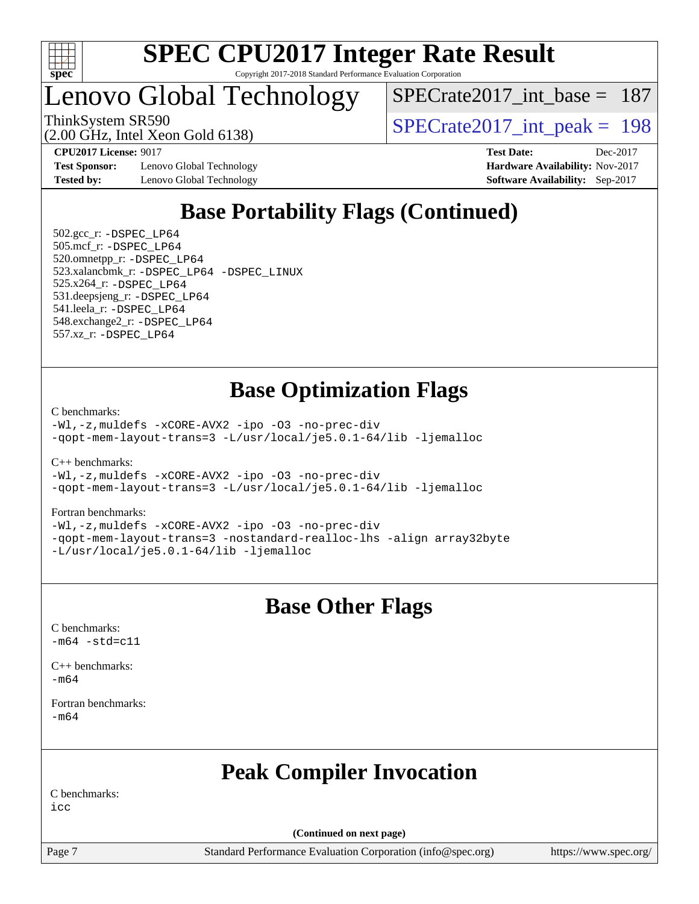

## Lenovo Global Technology

[SPECrate2017\\_int\\_base =](http://www.spec.org/auto/cpu2017/Docs/result-fields.html#SPECrate2017intbase) 187

(2.00 GHz, Intel Xeon Gold 6138)

ThinkSystem SR590<br>  $\angle Q$  00 GHz, Intel Year Gold 6138)<br> [SPECrate2017\\_int\\_peak =](http://www.spec.org/auto/cpu2017/Docs/result-fields.html#SPECrate2017intpeak) 198

**[Test Sponsor:](http://www.spec.org/auto/cpu2017/Docs/result-fields.html#TestSponsor)** Lenovo Global Technology **[Hardware Availability:](http://www.spec.org/auto/cpu2017/Docs/result-fields.html#HardwareAvailability)** Nov-2017 **[Tested by:](http://www.spec.org/auto/cpu2017/Docs/result-fields.html#Testedby)** Lenovo Global Technology **[Software Availability:](http://www.spec.org/auto/cpu2017/Docs/result-fields.html#SoftwareAvailability)** Sep-2017

**[CPU2017 License:](http://www.spec.org/auto/cpu2017/Docs/result-fields.html#CPU2017License)** 9017 **[Test Date:](http://www.spec.org/auto/cpu2017/Docs/result-fields.html#TestDate)** Dec-2017

## **[Base Portability Flags \(Continued\)](http://www.spec.org/auto/cpu2017/Docs/result-fields.html#BasePortabilityFlags)**

 502.gcc\_r: [-DSPEC\\_LP64](http://www.spec.org/cpu2017/results/res2018q1/cpu2017-20171225-02181.flags.html#suite_basePORTABILITY502_gcc_r_DSPEC_LP64) 505.mcf\_r: [-DSPEC\\_LP64](http://www.spec.org/cpu2017/results/res2018q1/cpu2017-20171225-02181.flags.html#suite_basePORTABILITY505_mcf_r_DSPEC_LP64) 520.omnetpp\_r: [-DSPEC\\_LP64](http://www.spec.org/cpu2017/results/res2018q1/cpu2017-20171225-02181.flags.html#suite_basePORTABILITY520_omnetpp_r_DSPEC_LP64) 523.xalancbmk\_r: [-DSPEC\\_LP64](http://www.spec.org/cpu2017/results/res2018q1/cpu2017-20171225-02181.flags.html#suite_basePORTABILITY523_xalancbmk_r_DSPEC_LP64) [-DSPEC\\_LINUX](http://www.spec.org/cpu2017/results/res2018q1/cpu2017-20171225-02181.flags.html#b523.xalancbmk_r_baseCXXPORTABILITY_DSPEC_LINUX) 525.x264\_r: [-DSPEC\\_LP64](http://www.spec.org/cpu2017/results/res2018q1/cpu2017-20171225-02181.flags.html#suite_basePORTABILITY525_x264_r_DSPEC_LP64) 531.deepsjeng\_r: [-DSPEC\\_LP64](http://www.spec.org/cpu2017/results/res2018q1/cpu2017-20171225-02181.flags.html#suite_basePORTABILITY531_deepsjeng_r_DSPEC_LP64) 541.leela\_r: [-DSPEC\\_LP64](http://www.spec.org/cpu2017/results/res2018q1/cpu2017-20171225-02181.flags.html#suite_basePORTABILITY541_leela_r_DSPEC_LP64) 548.exchange2\_r: [-DSPEC\\_LP64](http://www.spec.org/cpu2017/results/res2018q1/cpu2017-20171225-02181.flags.html#suite_basePORTABILITY548_exchange2_r_DSPEC_LP64) 557.xz\_r: [-DSPEC\\_LP64](http://www.spec.org/cpu2017/results/res2018q1/cpu2017-20171225-02181.flags.html#suite_basePORTABILITY557_xz_r_DSPEC_LP64)

## **[Base Optimization Flags](http://www.spec.org/auto/cpu2017/Docs/result-fields.html#BaseOptimizationFlags)**

[C benchmarks](http://www.spec.org/auto/cpu2017/Docs/result-fields.html#Cbenchmarks):

[-Wl,-z,muldefs](http://www.spec.org/cpu2017/results/res2018q1/cpu2017-20171225-02181.flags.html#user_CCbase_link_force_multiple1_b4cbdb97b34bdee9ceefcfe54f4c8ea74255f0b02a4b23e853cdb0e18eb4525ac79b5a88067c842dd0ee6996c24547a27a4b99331201badda8798ef8a743f577) [-xCORE-AVX2](http://www.spec.org/cpu2017/results/res2018q1/cpu2017-20171225-02181.flags.html#user_CCbase_f-xCORE-AVX2) [-ipo](http://www.spec.org/cpu2017/results/res2018q1/cpu2017-20171225-02181.flags.html#user_CCbase_f-ipo) [-O3](http://www.spec.org/cpu2017/results/res2018q1/cpu2017-20171225-02181.flags.html#user_CCbase_f-O3) [-no-prec-div](http://www.spec.org/cpu2017/results/res2018q1/cpu2017-20171225-02181.flags.html#user_CCbase_f-no-prec-div) [-qopt-mem-layout-trans=3](http://www.spec.org/cpu2017/results/res2018q1/cpu2017-20171225-02181.flags.html#user_CCbase_f-qopt-mem-layout-trans_de80db37974c74b1f0e20d883f0b675c88c3b01e9d123adea9b28688d64333345fb62bc4a798493513fdb68f60282f9a726aa07f478b2f7113531aecce732043) [-L/usr/local/je5.0.1-64/lib](http://www.spec.org/cpu2017/results/res2018q1/cpu2017-20171225-02181.flags.html#user_CCbase_jemalloc_link_path64_4b10a636b7bce113509b17f3bd0d6226c5fb2346b9178c2d0232c14f04ab830f976640479e5c33dc2bcbbdad86ecfb6634cbbd4418746f06f368b512fced5394) [-ljemalloc](http://www.spec.org/cpu2017/results/res2018q1/cpu2017-20171225-02181.flags.html#user_CCbase_jemalloc_link_lib_d1249b907c500fa1c0672f44f562e3d0f79738ae9e3c4a9c376d49f265a04b9c99b167ecedbf6711b3085be911c67ff61f150a17b3472be731631ba4d0471706)

[C++ benchmarks:](http://www.spec.org/auto/cpu2017/Docs/result-fields.html#CXXbenchmarks) [-Wl,-z,muldefs](http://www.spec.org/cpu2017/results/res2018q1/cpu2017-20171225-02181.flags.html#user_CXXbase_link_force_multiple1_b4cbdb97b34bdee9ceefcfe54f4c8ea74255f0b02a4b23e853cdb0e18eb4525ac79b5a88067c842dd0ee6996c24547a27a4b99331201badda8798ef8a743f577) [-xCORE-AVX2](http://www.spec.org/cpu2017/results/res2018q1/cpu2017-20171225-02181.flags.html#user_CXXbase_f-xCORE-AVX2) [-ipo](http://www.spec.org/cpu2017/results/res2018q1/cpu2017-20171225-02181.flags.html#user_CXXbase_f-ipo) [-O3](http://www.spec.org/cpu2017/results/res2018q1/cpu2017-20171225-02181.flags.html#user_CXXbase_f-O3) [-no-prec-div](http://www.spec.org/cpu2017/results/res2018q1/cpu2017-20171225-02181.flags.html#user_CXXbase_f-no-prec-div) [-qopt-mem-layout-trans=3](http://www.spec.org/cpu2017/results/res2018q1/cpu2017-20171225-02181.flags.html#user_CXXbase_f-qopt-mem-layout-trans_de80db37974c74b1f0e20d883f0b675c88c3b01e9d123adea9b28688d64333345fb62bc4a798493513fdb68f60282f9a726aa07f478b2f7113531aecce732043) [-L/usr/local/je5.0.1-64/lib](http://www.spec.org/cpu2017/results/res2018q1/cpu2017-20171225-02181.flags.html#user_CXXbase_jemalloc_link_path64_4b10a636b7bce113509b17f3bd0d6226c5fb2346b9178c2d0232c14f04ab830f976640479e5c33dc2bcbbdad86ecfb6634cbbd4418746f06f368b512fced5394) [-ljemalloc](http://www.spec.org/cpu2017/results/res2018q1/cpu2017-20171225-02181.flags.html#user_CXXbase_jemalloc_link_lib_d1249b907c500fa1c0672f44f562e3d0f79738ae9e3c4a9c376d49f265a04b9c99b167ecedbf6711b3085be911c67ff61f150a17b3472be731631ba4d0471706)

[Fortran benchmarks](http://www.spec.org/auto/cpu2017/Docs/result-fields.html#Fortranbenchmarks):

[-Wl,-z,muldefs](http://www.spec.org/cpu2017/results/res2018q1/cpu2017-20171225-02181.flags.html#user_FCbase_link_force_multiple1_b4cbdb97b34bdee9ceefcfe54f4c8ea74255f0b02a4b23e853cdb0e18eb4525ac79b5a88067c842dd0ee6996c24547a27a4b99331201badda8798ef8a743f577) [-xCORE-AVX2](http://www.spec.org/cpu2017/results/res2018q1/cpu2017-20171225-02181.flags.html#user_FCbase_f-xCORE-AVX2) [-ipo](http://www.spec.org/cpu2017/results/res2018q1/cpu2017-20171225-02181.flags.html#user_FCbase_f-ipo) [-O3](http://www.spec.org/cpu2017/results/res2018q1/cpu2017-20171225-02181.flags.html#user_FCbase_f-O3) [-no-prec-div](http://www.spec.org/cpu2017/results/res2018q1/cpu2017-20171225-02181.flags.html#user_FCbase_f-no-prec-div) [-qopt-mem-layout-trans=3](http://www.spec.org/cpu2017/results/res2018q1/cpu2017-20171225-02181.flags.html#user_FCbase_f-qopt-mem-layout-trans_de80db37974c74b1f0e20d883f0b675c88c3b01e9d123adea9b28688d64333345fb62bc4a798493513fdb68f60282f9a726aa07f478b2f7113531aecce732043) [-nostandard-realloc-lhs](http://www.spec.org/cpu2017/results/res2018q1/cpu2017-20171225-02181.flags.html#user_FCbase_f_2003_std_realloc_82b4557e90729c0f113870c07e44d33d6f5a304b4f63d4c15d2d0f1fab99f5daaed73bdb9275d9ae411527f28b936061aa8b9c8f2d63842963b95c9dd6426b8a) [-align array32byte](http://www.spec.org/cpu2017/results/res2018q1/cpu2017-20171225-02181.flags.html#user_FCbase_align_array32byte_b982fe038af199962ba9a80c053b8342c548c85b40b8e86eb3cc33dee0d7986a4af373ac2d51c3f7cf710a18d62fdce2948f201cd044323541f22fc0fffc51b6) [-L/usr/local/je5.0.1-64/lib](http://www.spec.org/cpu2017/results/res2018q1/cpu2017-20171225-02181.flags.html#user_FCbase_jemalloc_link_path64_4b10a636b7bce113509b17f3bd0d6226c5fb2346b9178c2d0232c14f04ab830f976640479e5c33dc2bcbbdad86ecfb6634cbbd4418746f06f368b512fced5394) [-ljemalloc](http://www.spec.org/cpu2017/results/res2018q1/cpu2017-20171225-02181.flags.html#user_FCbase_jemalloc_link_lib_d1249b907c500fa1c0672f44f562e3d0f79738ae9e3c4a9c376d49f265a04b9c99b167ecedbf6711b3085be911c67ff61f150a17b3472be731631ba4d0471706)

### **[Base Other Flags](http://www.spec.org/auto/cpu2017/Docs/result-fields.html#BaseOtherFlags)**

[C benchmarks](http://www.spec.org/auto/cpu2017/Docs/result-fields.html#Cbenchmarks):  $-m64 - std= c11$  $-m64 - std= c11$ 

[C++ benchmarks:](http://www.spec.org/auto/cpu2017/Docs/result-fields.html#CXXbenchmarks) [-m64](http://www.spec.org/cpu2017/results/res2018q1/cpu2017-20171225-02181.flags.html#user_CXXbase_intel_intel64_18.0_af43caccfc8ded86e7699f2159af6efc7655f51387b94da716254467f3c01020a5059329e2569e4053f409e7c9202a7efc638f7a6d1ffb3f52dea4a3e31d82ab)

[Fortran benchmarks](http://www.spec.org/auto/cpu2017/Docs/result-fields.html#Fortranbenchmarks): [-m64](http://www.spec.org/cpu2017/results/res2018q1/cpu2017-20171225-02181.flags.html#user_FCbase_intel_intel64_18.0_af43caccfc8ded86e7699f2159af6efc7655f51387b94da716254467f3c01020a5059329e2569e4053f409e7c9202a7efc638f7a6d1ffb3f52dea4a3e31d82ab)

## **[Peak Compiler Invocation](http://www.spec.org/auto/cpu2017/Docs/result-fields.html#PeakCompilerInvocation)**

[C benchmarks:](http://www.spec.org/auto/cpu2017/Docs/result-fields.html#Cbenchmarks)

[icc](http://www.spec.org/cpu2017/results/res2018q1/cpu2017-20171225-02181.flags.html#user_CCpeak_intel_icc_18.0_66fc1ee009f7361af1fbd72ca7dcefbb700085f36577c54f309893dd4ec40d12360134090235512931783d35fd58c0460139e722d5067c5574d8eaf2b3e37e92)

**(Continued on next page)**

Page 7 Standard Performance Evaluation Corporation [\(info@spec.org\)](mailto:info@spec.org) <https://www.spec.org/>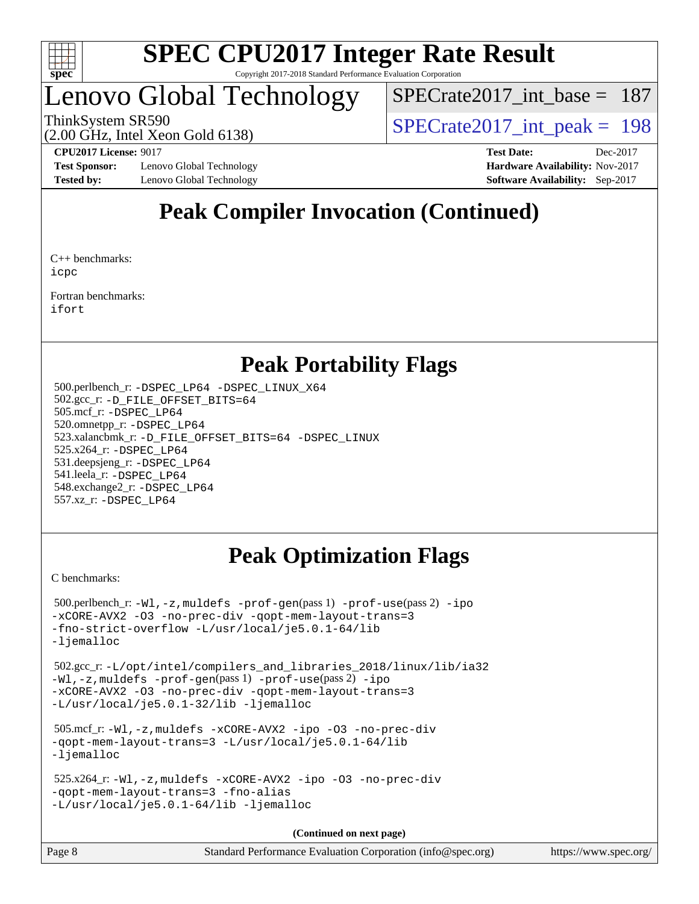

## Lenovo Global Technology

 $SPECrate2017\_int\_base = 187$ 

(2.00 GHz, Intel Xeon Gold 6138)

ThinkSystem SR590<br>  $\angle Q$  00 GHz, Intel Year Gald 6138)<br> [SPECrate2017\\_int\\_peak =](http://www.spec.org/auto/cpu2017/Docs/result-fields.html#SPECrate2017intpeak) 198

**[Test Sponsor:](http://www.spec.org/auto/cpu2017/Docs/result-fields.html#TestSponsor)** Lenovo Global Technology **[Hardware Availability:](http://www.spec.org/auto/cpu2017/Docs/result-fields.html#HardwareAvailability)** Nov-2017 **[Tested by:](http://www.spec.org/auto/cpu2017/Docs/result-fields.html#Testedby)** Lenovo Global Technology **[Software Availability:](http://www.spec.org/auto/cpu2017/Docs/result-fields.html#SoftwareAvailability)** Sep-2017

**[CPU2017 License:](http://www.spec.org/auto/cpu2017/Docs/result-fields.html#CPU2017License)** 9017 **[Test Date:](http://www.spec.org/auto/cpu2017/Docs/result-fields.html#TestDate)** Dec-2017

## **[Peak Compiler Invocation \(Continued\)](http://www.spec.org/auto/cpu2017/Docs/result-fields.html#PeakCompilerInvocation)**

[C++ benchmarks:](http://www.spec.org/auto/cpu2017/Docs/result-fields.html#CXXbenchmarks) [icpc](http://www.spec.org/cpu2017/results/res2018q1/cpu2017-20171225-02181.flags.html#user_CXXpeak_intel_icpc_18.0_c510b6838c7f56d33e37e94d029a35b4a7bccf4766a728ee175e80a419847e808290a9b78be685c44ab727ea267ec2f070ec5dc83b407c0218cded6866a35d07)

[Fortran benchmarks](http://www.spec.org/auto/cpu2017/Docs/result-fields.html#Fortranbenchmarks): [ifort](http://www.spec.org/cpu2017/results/res2018q1/cpu2017-20171225-02181.flags.html#user_FCpeak_intel_ifort_18.0_8111460550e3ca792625aed983ce982f94888b8b503583aa7ba2b8303487b4d8a21a13e7191a45c5fd58ff318f48f9492884d4413fa793fd88dd292cad7027ca)

## **[Peak Portability Flags](http://www.spec.org/auto/cpu2017/Docs/result-fields.html#PeakPortabilityFlags)**

 500.perlbench\_r: [-DSPEC\\_LP64](http://www.spec.org/cpu2017/results/res2018q1/cpu2017-20171225-02181.flags.html#b500.perlbench_r_peakPORTABILITY_DSPEC_LP64) [-DSPEC\\_LINUX\\_X64](http://www.spec.org/cpu2017/results/res2018q1/cpu2017-20171225-02181.flags.html#b500.perlbench_r_peakCPORTABILITY_DSPEC_LINUX_X64) 502.gcc\_r: [-D\\_FILE\\_OFFSET\\_BITS=64](http://www.spec.org/cpu2017/results/res2018q1/cpu2017-20171225-02181.flags.html#user_peakPORTABILITY502_gcc_r_file_offset_bits_64_5ae949a99b284ddf4e95728d47cb0843d81b2eb0e18bdfe74bbf0f61d0b064f4bda2f10ea5eb90e1dcab0e84dbc592acfc5018bc955c18609f94ddb8d550002c) 505.mcf\_r: [-DSPEC\\_LP64](http://www.spec.org/cpu2017/results/res2018q1/cpu2017-20171225-02181.flags.html#suite_peakPORTABILITY505_mcf_r_DSPEC_LP64) 520.omnetpp\_r: [-DSPEC\\_LP64](http://www.spec.org/cpu2017/results/res2018q1/cpu2017-20171225-02181.flags.html#suite_peakPORTABILITY520_omnetpp_r_DSPEC_LP64) 523.xalancbmk\_r: [-D\\_FILE\\_OFFSET\\_BITS=64](http://www.spec.org/cpu2017/results/res2018q1/cpu2017-20171225-02181.flags.html#user_peakPORTABILITY523_xalancbmk_r_file_offset_bits_64_5ae949a99b284ddf4e95728d47cb0843d81b2eb0e18bdfe74bbf0f61d0b064f4bda2f10ea5eb90e1dcab0e84dbc592acfc5018bc955c18609f94ddb8d550002c) [-DSPEC\\_LINUX](http://www.spec.org/cpu2017/results/res2018q1/cpu2017-20171225-02181.flags.html#b523.xalancbmk_r_peakCXXPORTABILITY_DSPEC_LINUX) 525.x264\_r: [-DSPEC\\_LP64](http://www.spec.org/cpu2017/results/res2018q1/cpu2017-20171225-02181.flags.html#suite_peakPORTABILITY525_x264_r_DSPEC_LP64) 531.deepsjeng\_r: [-DSPEC\\_LP64](http://www.spec.org/cpu2017/results/res2018q1/cpu2017-20171225-02181.flags.html#suite_peakPORTABILITY531_deepsjeng_r_DSPEC_LP64) 541.leela\_r: [-DSPEC\\_LP64](http://www.spec.org/cpu2017/results/res2018q1/cpu2017-20171225-02181.flags.html#suite_peakPORTABILITY541_leela_r_DSPEC_LP64) 548.exchange2\_r: [-DSPEC\\_LP64](http://www.spec.org/cpu2017/results/res2018q1/cpu2017-20171225-02181.flags.html#suite_peakPORTABILITY548_exchange2_r_DSPEC_LP64) 557.xz\_r: [-DSPEC\\_LP64](http://www.spec.org/cpu2017/results/res2018q1/cpu2017-20171225-02181.flags.html#suite_peakPORTABILITY557_xz_r_DSPEC_LP64)

## **[Peak Optimization Flags](http://www.spec.org/auto/cpu2017/Docs/result-fields.html#PeakOptimizationFlags)**

[C benchmarks](http://www.spec.org/auto/cpu2017/Docs/result-fields.html#Cbenchmarks):

```
 500.perlbench_r: -Wl,-z,muldefs -prof-gen(pass 1) -prof-use(pass 2) -ipo
-xCORE-AVX2 -O3 -no-prec-div -qopt-mem-layout-trans=3
-fno-strict-overflow -L/usr/local/je5.0.1-64/lib
-ljemalloc
```
 502.gcc\_r: [-L/opt/intel/compilers\\_and\\_libraries\\_2018/linux/lib/ia32](http://www.spec.org/cpu2017/results/res2018q1/cpu2017-20171225-02181.flags.html#user_peakCCLD502_gcc_r_Enable-32bit-runtime_af243bdb1d79e4c7a4f720bf8275e627de2ecd461de63307bc14cef0633fde3cd7bb2facb32dcc8be9566045fb55d40ce2b72b725f73827aa7833441b71b9343) [-Wl,-z,muldefs](http://www.spec.org/cpu2017/results/res2018q1/cpu2017-20171225-02181.flags.html#user_peakEXTRA_LDFLAGS502_gcc_r_link_force_multiple1_b4cbdb97b34bdee9ceefcfe54f4c8ea74255f0b02a4b23e853cdb0e18eb4525ac79b5a88067c842dd0ee6996c24547a27a4b99331201badda8798ef8a743f577) [-prof-gen](http://www.spec.org/cpu2017/results/res2018q1/cpu2017-20171225-02181.flags.html#user_peakPASS1_CFLAGSPASS1_LDFLAGS502_gcc_r_prof_gen_5aa4926d6013ddb2a31985c654b3eb18169fc0c6952a63635c234f711e6e63dd76e94ad52365559451ec499a2cdb89e4dc58ba4c67ef54ca681ffbe1461d6b36)(pass 1) [-prof-use](http://www.spec.org/cpu2017/results/res2018q1/cpu2017-20171225-02181.flags.html#user_peakPASS2_CFLAGSPASS2_LDFLAGS502_gcc_r_prof_use_1a21ceae95f36a2b53c25747139a6c16ca95bd9def2a207b4f0849963b97e94f5260e30a0c64f4bb623698870e679ca08317ef8150905d41bd88c6f78df73f19)(pass 2) [-ipo](http://www.spec.org/cpu2017/results/res2018q1/cpu2017-20171225-02181.flags.html#user_peakPASS1_COPTIMIZEPASS2_COPTIMIZE502_gcc_r_f-ipo) [-xCORE-AVX2](http://www.spec.org/cpu2017/results/res2018q1/cpu2017-20171225-02181.flags.html#user_peakPASS2_COPTIMIZE502_gcc_r_f-xCORE-AVX2) [-O3](http://www.spec.org/cpu2017/results/res2018q1/cpu2017-20171225-02181.flags.html#user_peakPASS1_COPTIMIZEPASS2_COPTIMIZE502_gcc_r_f-O3) [-no-prec-div](http://www.spec.org/cpu2017/results/res2018q1/cpu2017-20171225-02181.flags.html#user_peakPASS1_COPTIMIZEPASS2_COPTIMIZE502_gcc_r_f-no-prec-div) [-qopt-mem-layout-trans=3](http://www.spec.org/cpu2017/results/res2018q1/cpu2017-20171225-02181.flags.html#user_peakPASS1_COPTIMIZEPASS2_COPTIMIZE502_gcc_r_f-qopt-mem-layout-trans_de80db37974c74b1f0e20d883f0b675c88c3b01e9d123adea9b28688d64333345fb62bc4a798493513fdb68f60282f9a726aa07f478b2f7113531aecce732043) [-L/usr/local/je5.0.1-32/lib](http://www.spec.org/cpu2017/results/res2018q1/cpu2017-20171225-02181.flags.html#user_peakEXTRA_LIBS502_gcc_r_jemalloc_link_path32_e29f22e8e6c17053bbc6a0971f5a9c01a601a06bb1a59df2084b77a2fe0a2995b64fd4256feaeea39eeba3aae142e96e2b2b0a28974019c0c0c88139a84f900a) [-ljemalloc](http://www.spec.org/cpu2017/results/res2018q1/cpu2017-20171225-02181.flags.html#user_peakEXTRA_LIBS502_gcc_r_jemalloc_link_lib_d1249b907c500fa1c0672f44f562e3d0f79738ae9e3c4a9c376d49f265a04b9c99b167ecedbf6711b3085be911c67ff61f150a17b3472be731631ba4d0471706)

```
 505.mcf_r: -Wl,-z,muldefs -xCORE-AVX2 -ipo -O3 -no-prec-div
-qopt-mem-layout-trans=3 -L/usr/local/je5.0.1-64/lib
-ljemalloc
```

```
 525.x264_r: -Wl,-z,muldefs -xCORE-AVX2 -ipo -O3 -no-prec-div
-qopt-mem-layout-trans=3 -fno-alias
-L/usr/local/je5.0.1-64/lib -ljemalloc
```
**(Continued on next page)**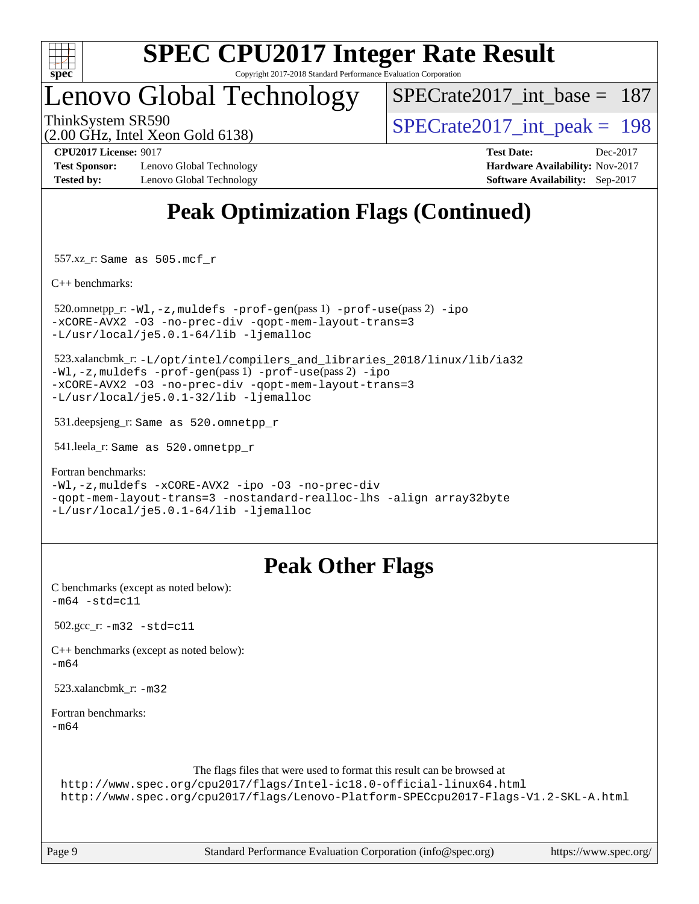

## Lenovo Global Technology

[SPECrate2017\\_int\\_base =](http://www.spec.org/auto/cpu2017/Docs/result-fields.html#SPECrate2017intbase) 187

(2.00 GHz, Intel Xeon Gold 6138)

ThinkSystem SR590<br>  $\angle Q$  00 GHz, Intel Year Gold 6138)<br> [SPECrate2017\\_int\\_peak =](http://www.spec.org/auto/cpu2017/Docs/result-fields.html#SPECrate2017intpeak) 198

**[Test Sponsor:](http://www.spec.org/auto/cpu2017/Docs/result-fields.html#TestSponsor)** Lenovo Global Technology **[Hardware Availability:](http://www.spec.org/auto/cpu2017/Docs/result-fields.html#HardwareAvailability)** Nov-2017 **[Tested by:](http://www.spec.org/auto/cpu2017/Docs/result-fields.html#Testedby)** Lenovo Global Technology **[Software Availability:](http://www.spec.org/auto/cpu2017/Docs/result-fields.html#SoftwareAvailability)** Sep-2017

**[CPU2017 License:](http://www.spec.org/auto/cpu2017/Docs/result-fields.html#CPU2017License)** 9017 **[Test Date:](http://www.spec.org/auto/cpu2017/Docs/result-fields.html#TestDate)** Dec-2017

## **[Peak Optimization Flags \(Continued\)](http://www.spec.org/auto/cpu2017/Docs/result-fields.html#PeakOptimizationFlags)**

557.xz\_r: Same as 505.mcf\_r

[C++ benchmarks:](http://www.spec.org/auto/cpu2017/Docs/result-fields.html#CXXbenchmarks)

```
520.omnetpp_r: -W1, -z, muldefs -prof -qen(pass 1) -prof-ipo
-xCORE-AVX2 -O3 -no-prec-div -qopt-mem-layout-trans=3
-L/usr/local/je5.0.1-64/lib -ljemalloc
```
 523.xalancbmk\_r: [-L/opt/intel/compilers\\_and\\_libraries\\_2018/linux/lib/ia32](http://www.spec.org/cpu2017/results/res2018q1/cpu2017-20171225-02181.flags.html#user_peakCXXLD523_xalancbmk_r_Enable-32bit-runtime_af243bdb1d79e4c7a4f720bf8275e627de2ecd461de63307bc14cef0633fde3cd7bb2facb32dcc8be9566045fb55d40ce2b72b725f73827aa7833441b71b9343) [-Wl,-z,muldefs](http://www.spec.org/cpu2017/results/res2018q1/cpu2017-20171225-02181.flags.html#user_peakEXTRA_LDFLAGS523_xalancbmk_r_link_force_multiple1_b4cbdb97b34bdee9ceefcfe54f4c8ea74255f0b02a4b23e853cdb0e18eb4525ac79b5a88067c842dd0ee6996c24547a27a4b99331201badda8798ef8a743f577) [-prof-gen](http://www.spec.org/cpu2017/results/res2018q1/cpu2017-20171225-02181.flags.html#user_peakPASS1_CXXFLAGSPASS1_LDFLAGS523_xalancbmk_r_prof_gen_5aa4926d6013ddb2a31985c654b3eb18169fc0c6952a63635c234f711e6e63dd76e94ad52365559451ec499a2cdb89e4dc58ba4c67ef54ca681ffbe1461d6b36)(pass 1) [-prof-use](http://www.spec.org/cpu2017/results/res2018q1/cpu2017-20171225-02181.flags.html#user_peakPASS2_CXXFLAGSPASS2_LDFLAGS523_xalancbmk_r_prof_use_1a21ceae95f36a2b53c25747139a6c16ca95bd9def2a207b4f0849963b97e94f5260e30a0c64f4bb623698870e679ca08317ef8150905d41bd88c6f78df73f19)(pass 2) [-ipo](http://www.spec.org/cpu2017/results/res2018q1/cpu2017-20171225-02181.flags.html#user_peakPASS1_CXXOPTIMIZEPASS2_CXXOPTIMIZE523_xalancbmk_r_f-ipo) [-xCORE-AVX2](http://www.spec.org/cpu2017/results/res2018q1/cpu2017-20171225-02181.flags.html#user_peakPASS2_CXXOPTIMIZE523_xalancbmk_r_f-xCORE-AVX2) [-O3](http://www.spec.org/cpu2017/results/res2018q1/cpu2017-20171225-02181.flags.html#user_peakPASS1_CXXOPTIMIZEPASS2_CXXOPTIMIZE523_xalancbmk_r_f-O3) [-no-prec-div](http://www.spec.org/cpu2017/results/res2018q1/cpu2017-20171225-02181.flags.html#user_peakPASS1_CXXOPTIMIZEPASS2_CXXOPTIMIZE523_xalancbmk_r_f-no-prec-div) [-qopt-mem-layout-trans=3](http://www.spec.org/cpu2017/results/res2018q1/cpu2017-20171225-02181.flags.html#user_peakPASS1_CXXOPTIMIZEPASS2_CXXOPTIMIZE523_xalancbmk_r_f-qopt-mem-layout-trans_de80db37974c74b1f0e20d883f0b675c88c3b01e9d123adea9b28688d64333345fb62bc4a798493513fdb68f60282f9a726aa07f478b2f7113531aecce732043) [-L/usr/local/je5.0.1-32/lib](http://www.spec.org/cpu2017/results/res2018q1/cpu2017-20171225-02181.flags.html#user_peakEXTRA_LIBS523_xalancbmk_r_jemalloc_link_path32_e29f22e8e6c17053bbc6a0971f5a9c01a601a06bb1a59df2084b77a2fe0a2995b64fd4256feaeea39eeba3aae142e96e2b2b0a28974019c0c0c88139a84f900a) [-ljemalloc](http://www.spec.org/cpu2017/results/res2018q1/cpu2017-20171225-02181.flags.html#user_peakEXTRA_LIBS523_xalancbmk_r_jemalloc_link_lib_d1249b907c500fa1c0672f44f562e3d0f79738ae9e3c4a9c376d49f265a04b9c99b167ecedbf6711b3085be911c67ff61f150a17b3472be731631ba4d0471706)

531.deepsjeng\_r: Same as 520.omnetpp\_r

541.leela\_r: Same as 520.omnetpp\_r

[Fortran benchmarks](http://www.spec.org/auto/cpu2017/Docs/result-fields.html#Fortranbenchmarks):

[-Wl,-z,muldefs](http://www.spec.org/cpu2017/results/res2018q1/cpu2017-20171225-02181.flags.html#user_FCpeak_link_force_multiple1_b4cbdb97b34bdee9ceefcfe54f4c8ea74255f0b02a4b23e853cdb0e18eb4525ac79b5a88067c842dd0ee6996c24547a27a4b99331201badda8798ef8a743f577) [-xCORE-AVX2](http://www.spec.org/cpu2017/results/res2018q1/cpu2017-20171225-02181.flags.html#user_FCpeak_f-xCORE-AVX2) [-ipo](http://www.spec.org/cpu2017/results/res2018q1/cpu2017-20171225-02181.flags.html#user_FCpeak_f-ipo) [-O3](http://www.spec.org/cpu2017/results/res2018q1/cpu2017-20171225-02181.flags.html#user_FCpeak_f-O3) [-no-prec-div](http://www.spec.org/cpu2017/results/res2018q1/cpu2017-20171225-02181.flags.html#user_FCpeak_f-no-prec-div) [-qopt-mem-layout-trans=3](http://www.spec.org/cpu2017/results/res2018q1/cpu2017-20171225-02181.flags.html#user_FCpeak_f-qopt-mem-layout-trans_de80db37974c74b1f0e20d883f0b675c88c3b01e9d123adea9b28688d64333345fb62bc4a798493513fdb68f60282f9a726aa07f478b2f7113531aecce732043) [-nostandard-realloc-lhs](http://www.spec.org/cpu2017/results/res2018q1/cpu2017-20171225-02181.flags.html#user_FCpeak_f_2003_std_realloc_82b4557e90729c0f113870c07e44d33d6f5a304b4f63d4c15d2d0f1fab99f5daaed73bdb9275d9ae411527f28b936061aa8b9c8f2d63842963b95c9dd6426b8a) [-align array32byte](http://www.spec.org/cpu2017/results/res2018q1/cpu2017-20171225-02181.flags.html#user_FCpeak_align_array32byte_b982fe038af199962ba9a80c053b8342c548c85b40b8e86eb3cc33dee0d7986a4af373ac2d51c3f7cf710a18d62fdce2948f201cd044323541f22fc0fffc51b6) [-L/usr/local/je5.0.1-64/lib](http://www.spec.org/cpu2017/results/res2018q1/cpu2017-20171225-02181.flags.html#user_FCpeak_jemalloc_link_path64_4b10a636b7bce113509b17f3bd0d6226c5fb2346b9178c2d0232c14f04ab830f976640479e5c33dc2bcbbdad86ecfb6634cbbd4418746f06f368b512fced5394) [-ljemalloc](http://www.spec.org/cpu2017/results/res2018q1/cpu2017-20171225-02181.flags.html#user_FCpeak_jemalloc_link_lib_d1249b907c500fa1c0672f44f562e3d0f79738ae9e3c4a9c376d49f265a04b9c99b167ecedbf6711b3085be911c67ff61f150a17b3472be731631ba4d0471706)

## **[Peak Other Flags](http://www.spec.org/auto/cpu2017/Docs/result-fields.html#PeakOtherFlags)**

[C benchmarks \(except as noted below\)](http://www.spec.org/auto/cpu2017/Docs/result-fields.html#Cbenchmarksexceptasnotedbelow):  $-m64 - std = c11$  $-m64 - std = c11$ 

502.gcc\_r: [-m32](http://www.spec.org/cpu2017/results/res2018q1/cpu2017-20171225-02181.flags.html#user_peakCCLD502_gcc_r_intel_ia32_18.0_2666f1173eb60787016b673bfe1358e27016ef7649ea4884b7bc6187fd89dc221d14632e22638cde1c647a518de97358ab15d4ad098ee4e19a8b28d0c25e14bf) [-std=c11](http://www.spec.org/cpu2017/results/res2018q1/cpu2017-20171225-02181.flags.html#user_peakCCLD502_gcc_r_intel_compiler_c11_mode_0e1c27790398a4642dfca32ffe6c27b5796f9c2d2676156f2e42c9c44eaad0c049b1cdb667a270c34d979996257aeb8fc440bfb01818dbc9357bd9d174cb8524)

[C++ benchmarks \(except as noted below\):](http://www.spec.org/auto/cpu2017/Docs/result-fields.html#CXXbenchmarksexceptasnotedbelow) [-m64](http://www.spec.org/cpu2017/results/res2018q1/cpu2017-20171225-02181.flags.html#user_CXXpeak_intel_intel64_18.0_af43caccfc8ded86e7699f2159af6efc7655f51387b94da716254467f3c01020a5059329e2569e4053f409e7c9202a7efc638f7a6d1ffb3f52dea4a3e31d82ab)

523.xalancbmk\_r: [-m32](http://www.spec.org/cpu2017/results/res2018q1/cpu2017-20171225-02181.flags.html#user_peakCXXLD523_xalancbmk_r_intel_ia32_18.0_2666f1173eb60787016b673bfe1358e27016ef7649ea4884b7bc6187fd89dc221d14632e22638cde1c647a518de97358ab15d4ad098ee4e19a8b28d0c25e14bf)

[Fortran benchmarks](http://www.spec.org/auto/cpu2017/Docs/result-fields.html#Fortranbenchmarks): [-m64](http://www.spec.org/cpu2017/results/res2018q1/cpu2017-20171225-02181.flags.html#user_FCpeak_intel_intel64_18.0_af43caccfc8ded86e7699f2159af6efc7655f51387b94da716254467f3c01020a5059329e2569e4053f409e7c9202a7efc638f7a6d1ffb3f52dea4a3e31d82ab)

The flags files that were used to format this result can be browsed at

<http://www.spec.org/cpu2017/flags/Intel-ic18.0-official-linux64.html> <http://www.spec.org/cpu2017/flags/Lenovo-Platform-SPECcpu2017-Flags-V1.2-SKL-A.html>